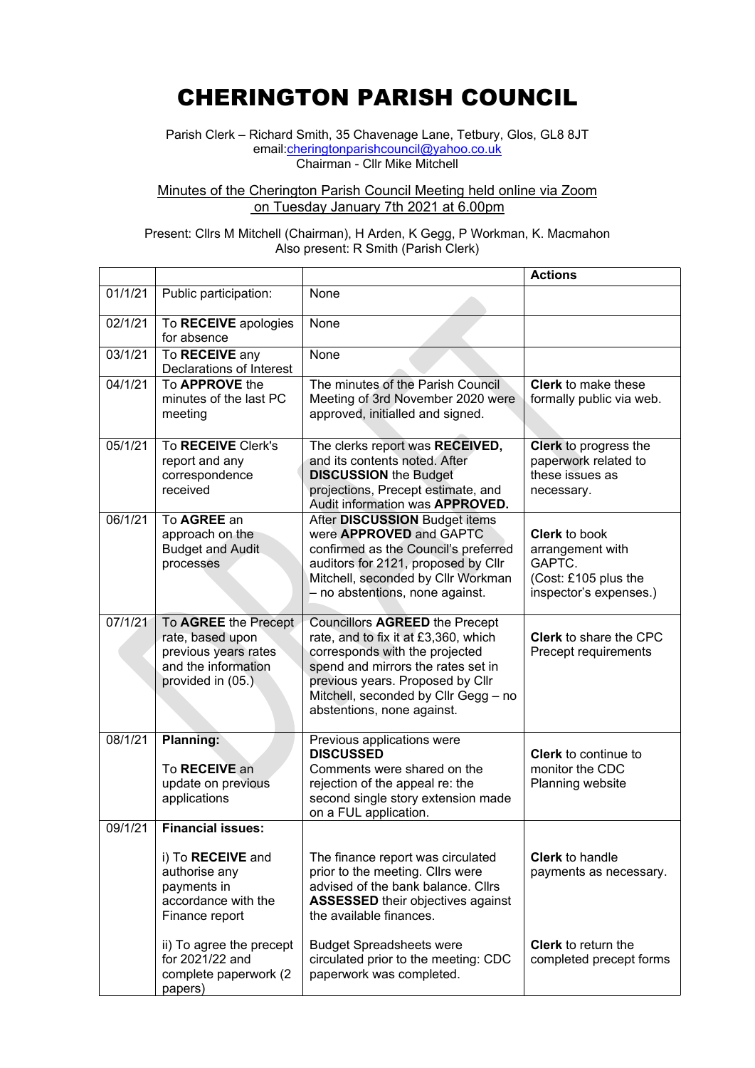## CHERINGTON PARISH COUNCIL

Parish Clerk – Richard Smith, 35 Chavenage Lane, Tetbury, Glos, GL8 8JT email: cheringtonparishcouncil@yahoo.co.uk Chairman - Cllr Mike Mitchell

## Minutes of the Cherington Parish Council Meeting held online via Zoom on Tuesday January 7th 2021 at 6.00pm

## Present: Cllrs M Mitchell (Chairman), H Arden, K Gegg, P Workman, K. Macmahon Also present: R Smith (Parish Clerk)

|         |                                                                                                              |                                                                                                                                                                                                                                                          | <b>Actions</b>                                                                                       |
|---------|--------------------------------------------------------------------------------------------------------------|----------------------------------------------------------------------------------------------------------------------------------------------------------------------------------------------------------------------------------------------------------|------------------------------------------------------------------------------------------------------|
| 01/1/21 | Public participation:                                                                                        | None                                                                                                                                                                                                                                                     |                                                                                                      |
| 02/1/21 | To RECEIVE apologies<br>for absence                                                                          | None                                                                                                                                                                                                                                                     |                                                                                                      |
| 03/1/21 | To RECEIVE any<br>Declarations of Interest                                                                   | None                                                                                                                                                                                                                                                     |                                                                                                      |
| 04/1/21 | To <b>APPROVE</b> the<br>minutes of the last PC<br>meeting                                                   | The minutes of the Parish Council<br>Meeting of 3rd November 2020 were<br>approved, initialled and signed.                                                                                                                                               | <b>Clerk</b> to make these<br>formally public via web.                                               |
| 05/1/21 | To RECEIVE Clerk's<br>report and any<br>correspondence<br>received                                           | The clerks report was RECEIVED,<br>and its contents noted. After<br><b>DISCUSSION the Budget</b><br>projections, Precept estimate, and<br>Audit information was APPROVED.                                                                                | Clerk to progress the<br>paperwork related to<br>these issues as<br>necessary.                       |
| 06/1/21 | To AGREE an<br>approach on the<br><b>Budget and Audit</b><br>processes                                       | After DISCUSSION Budget items<br>were <b>APPROVED</b> and GAPTC<br>confirmed as the Council's preferred<br>auditors for 2121, proposed by Cllr<br>Mitchell, seconded by Cllr Workman<br>- no abstentions, none against.                                  | <b>Clerk</b> to book<br>arrangement with<br>GAPTC.<br>(Cost: £105 plus the<br>inspector's expenses.) |
| 07/1/21 | To AGREE the Precept<br>rate, based upon<br>previous years rates<br>and the information<br>provided in (05.) | Councillors AGREED the Precept<br>rate, and to fix it at £3,360, which<br>corresponds with the projected<br>spend and mirrors the rates set in<br>previous years. Proposed by Cllr<br>Mitchell, seconded by Cllr Gegg - no<br>abstentions, none against. | <b>Clerk</b> to share the CPC<br>Precept requirements                                                |
| 08/1/21 | <b>Planning:</b><br>To RECEIVE an<br>update on previous<br>applications                                      | Previous applications were<br><b>DISCUSSED</b><br>Comments were shared on the<br>rejection of the appeal re: the<br>second single story extension made<br>on a FUL application.                                                                          | <b>Clerk</b> to continue to<br>monitor the CDC<br>Planning website                                   |
| 09/1/21 | <b>Financial issues:</b>                                                                                     |                                                                                                                                                                                                                                                          |                                                                                                      |
|         | i) To RECEIVE and<br>authorise any<br>payments in<br>accordance with the<br>Finance report                   | The finance report was circulated<br>prior to the meeting. Cllrs were<br>advised of the bank balance. Cllrs<br><b>ASSESSED</b> their objectives against<br>the available finances.                                                                       | <b>Clerk</b> to handle<br>payments as necessary.                                                     |
|         | ii) To agree the precept<br>for 2021/22 and<br>complete paperwork (2<br>papers)                              | <b>Budget Spreadsheets were</b><br>circulated prior to the meeting: CDC<br>paperwork was completed.                                                                                                                                                      | <b>Clerk</b> to return the<br>completed precept forms                                                |